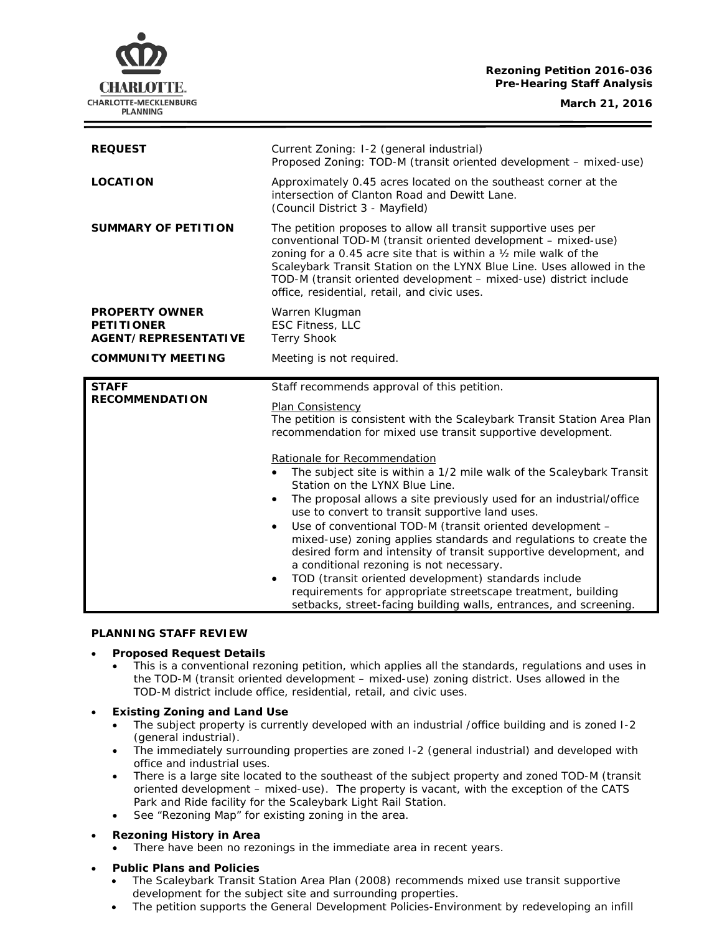## **Rezoning Petition 2016-036 Pre-Hearing Staff Analysis**

CHARLOTTE. CHARLOTTE-MECKLENBURG **PLANNING** 

**March 21, 2016**

| <b>REQUEST</b>                                                            | Current Zoning: I-2 (general industrial)<br>Proposed Zoning: TOD-M (transit oriented development - mixed-use)                                                                                                                                                                                                                                                                                      |
|---------------------------------------------------------------------------|----------------------------------------------------------------------------------------------------------------------------------------------------------------------------------------------------------------------------------------------------------------------------------------------------------------------------------------------------------------------------------------------------|
| <b>LOCATION</b>                                                           | Approximately 0.45 acres located on the southeast corner at the<br>intersection of Clanton Road and Dewitt Lane.<br>(Council District 3 - Mayfield)                                                                                                                                                                                                                                                |
| <b>SUMMARY OF PETITION</b>                                                | The petition proposes to allow all transit supportive uses per<br>conventional TOD-M (transit oriented development - mixed-use)<br>zoning for a 0.45 acre site that is within a 1/2 mile walk of the<br>Scaleybark Transit Station on the LYNX Blue Line. Uses allowed in the<br>TOD-M (transit oriented development - mixed-use) district include<br>office, residential, retail, and civic uses. |
| <b>PROPERTY OWNER</b><br><b>PETITIONER</b><br><b>AGENT/REPRESENTATIVE</b> | Warren Klugman<br><b>ESC Fitness, LLC</b><br><b>Terry Shook</b>                                                                                                                                                                                                                                                                                                                                    |
| <b>COMMUNITY MEETING</b>                                                  | Meeting is not required.                                                                                                                                                                                                                                                                                                                                                                           |
|                                                                           |                                                                                                                                                                                                                                                                                                                                                                                                    |
| <b>STAFF</b>                                                              |                                                                                                                                                                                                                                                                                                                                                                                                    |
| <b>RECOMMENDATION</b>                                                     | Staff recommends approval of this petition.<br><b>Plan Consistency</b><br>The petition is consistent with the Scaleybark Transit Station Area Plan<br>recommendation for mixed use transit supportive development.                                                                                                                                                                                 |

### **PLANNING STAFF REVIEW**

## • **Proposed Request Details**

- This is a conventional rezoning petition, which applies all the standards, regulations and uses in the TOD-M (transit oriented development – mixed-use) zoning district. Uses allowed in the TOD-M district include office, residential, retail, and civic uses.
- **Existing Zoning and Land Use**
	- The subject property is currently developed with an industrial /office building and is zoned I-2 (general industrial).
	- The immediately surrounding properties are zoned I-2 (general industrial) and developed with office and industrial uses.
	- There is a large site located to the southeast of the subject property and zoned TOD-M (transit oriented development – mixed-use). The property is vacant, with the exception of the CATS Park and Ride facility for the Scaleybark Light Rail Station.
	- See "Rezoning Map" for existing zoning in the area.
- **Rezoning History in Area**
	- There have been no rezonings in the immediate area in recent years.
- **Public Plans and Policies**
	- The *Scaleybark Transit Station Area Plan* (2008) recommends mixed use transit supportive development for the subject site and surrounding properties.
	- The petition supports the *General Development Policies-Environment* by redeveloping an infill